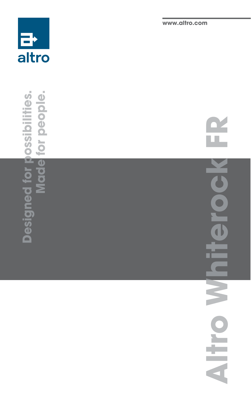

**Designed for possibilities.**<br>Made for people. for people. **Made for people. Designed for possibilities.**

**www.altro.com**

**Altro Whiterock FR**

Altro

 $\overline{\mathbf{C}}$ 

 $\frac{\Omega}{\Pi}$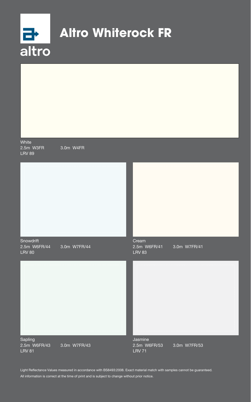

**White** LRV 89

2.5m W3FR 3.0m W4FR



Light Reflectance Values measured in accordance with BS8493:2008. Exact material match with samples cannot be guaranteed. All information is correct at the time of print and is subject to change without prior notice.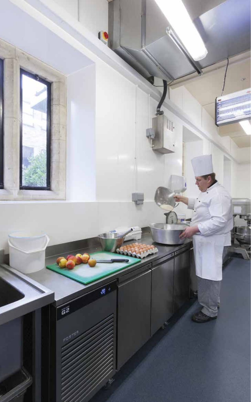